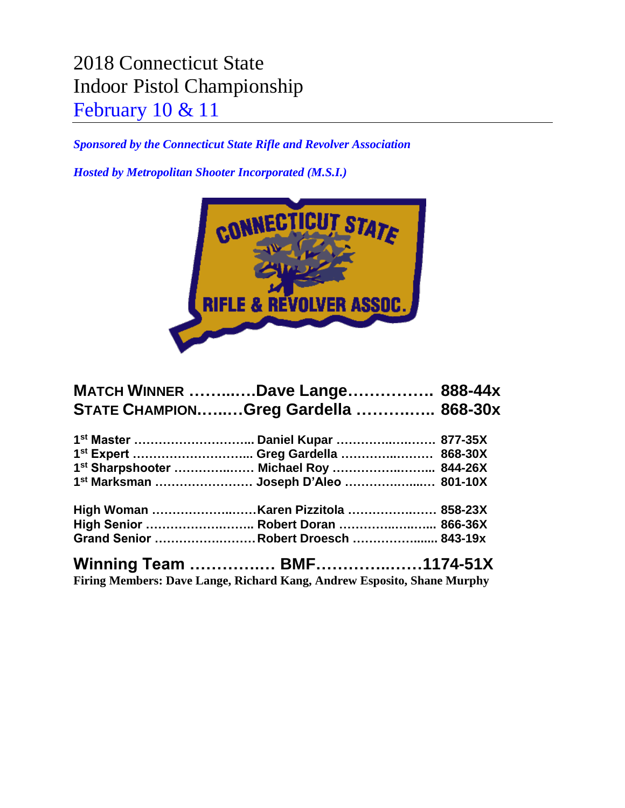## 2018 Connecticut State Indoor Pistol Championship February 10 & 11

*Sponsored by the Connecticut State Rifle and Revolver Association*

*Hosted by Metropolitan Shooter Incorporated (M.S.I.)*



| <b>MATCH WINNER Dave Lange 888-44x</b> |  |
|----------------------------------------|--|
| STATE CHAMPIONGreg Gardella  868-30x   |  |
|                                        |  |
| 1st Expert  Greg Gardella  868-30X     |  |
| 1st Sharpshooter  Michael Roy  844-26X |  |
| 1st Marksman  Joseph D'Aleo  801-10X   |  |
|                                        |  |
| High Senior  Robert Doran  866-36X     |  |
| Grand Senior Robert Droesch  843-19x   |  |
|                                        |  |

**Firing Members: Dave Lange, Richard Kang, Andrew Esposito, Shane Murphy**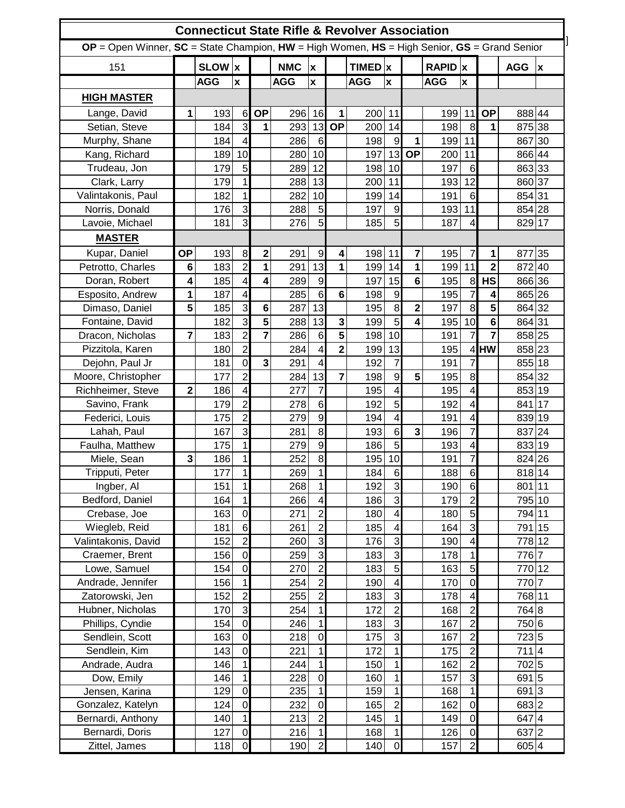| <b>Connecticut State Rifle &amp; Revolver Association</b>                                             |             |            |                         |                         |            |                           |                         |             |                         |                |            |                          |                |                   |    |
|-------------------------------------------------------------------------------------------------------|-------------|------------|-------------------------|-------------------------|------------|---------------------------|-------------------------|-------------|-------------------------|----------------|------------|--------------------------|----------------|-------------------|----|
| $OP = Open$ Winner, $SC = State$ Champion, $HW = High$ Women, $HS = High$ Senior, $GS = Grand$ Senior |             |            |                         |                         |            |                           |                         |             |                         |                |            |                          |                |                   |    |
| 151                                                                                                   |             | SLOW x     |                         |                         | <b>NMC</b> | $\pmb{\mathsf{x}}$        |                         | $TIMED$ $x$ |                         |                | $RAPID$ x  |                          |                | <b>AGG</b>        | Iх |
|                                                                                                       |             | <b>AGG</b> | $\pmb{\mathsf{x}}$      |                         | <b>AGG</b> | $\boldsymbol{\mathsf{x}}$ |                         | <b>AGG</b>  | $\pmb{\mathsf{x}}$      |                | <b>AGG</b> | $\pmb{\mathsf{x}}$       |                |                   |    |
| <b>HIGH MASTER</b>                                                                                    |             |            |                         |                         |            |                           |                         |             |                         |                |            |                          |                |                   |    |
| Lange, David                                                                                          | 1           | 193        | 6                       | <b>OP</b>               | 296        | 16                        | $\mathbf{1}$            | 200         | 11                      |                | 199        | 11                       | <b>OP</b>      | 888 44            |    |
| Setian, Steve                                                                                         |             | 184        | 3                       | 1                       | 293        | 13                        | <b>OP</b>               | 200         | 14                      |                | 198        | $\boldsymbol{8}$         | 1              | 875 38            |    |
| Murphy, Shane                                                                                         |             | 184        | $\overline{\mathbf{4}}$ |                         | 286        | 6                         |                         | 198         | 9                       | 1              | 199        | 11                       |                | 867 30            |    |
| Kang, Richard                                                                                         |             | 189        | 10                      |                         | 280        | 10                        |                         | 197         | 13                      | <b>OP</b>      | 200        | 11                       |                | 866 44            |    |
| Trudeau, Jon                                                                                          |             | 179        | 5                       |                         | 289        | 12                        |                         | 198         | 10                      |                | 197        | 6                        |                | 863 33            |    |
| Clark, Larry                                                                                          |             | 179        | $\overline{1}$          |                         | 288        | 13                        |                         | 200         | 11                      |                | 193        | 12                       |                | 860 37            |    |
| Valintakonis, Paul                                                                                    |             | 182        | $\mathbf{1}$            |                         | 282        | 10                        |                         | 199         | 14                      |                | 191        | 6                        |                | 854 31            |    |
| Norris, Donald                                                                                        |             | 176        | 3                       |                         | 288        | 5 <sub>l</sub>            |                         | 197         | $\overline{9}$          |                | 193        | 11                       |                | 854 28            |    |
| Lavoie, Michael                                                                                       |             | 181        | ω                       |                         | 276        | 5 <sup>1</sup>            |                         | 185         | 5 <sup>1</sup>          |                | 187        | 4                        |                | 829 17            |    |
| <b>MASTER</b>                                                                                         |             |            |                         |                         |            |                           |                         |             |                         |                |            |                          |                |                   |    |
| Kupar, Daniel                                                                                         | <b>OP</b>   | 193        | 8                       | $\overline{\mathbf{2}}$ | 291        | $\overline{9}$            | 4                       | 198         | 11                      | 7              | 195        | $\overline{7}$           | 1              | 877 35            |    |
| Petrotto, Charles                                                                                     | 6           | 183        | $\overline{2}$          | 1                       | 291        | 13                        | 1                       | 199         | 14                      | 1              | 199        | 11                       | $\overline{2}$ | 872 40            |    |
| Doran, Robert                                                                                         | 4           | 185        | $\overline{\mathbf{4}}$ | 4                       | 289        | $\overline{9}$            |                         | 197         | 15                      | 6              | 195        | $\boldsymbol{8}$         | <b>HS</b>      | 866 36            |    |
| Esposito, Andrew                                                                                      | 1           | 187        | $\overline{\mathbf{4}}$ |                         | 285        | 6                         | $6\phantom{1}$          | 198         | 9                       |                | 195        | $\overline{7}$           | 4              | 865 26            |    |
| Dimaso, Daniel                                                                                        | 5           | 185        | 3                       | 6                       | 287        | 13                        |                         | 195         | 8                       | $\overline{2}$ | 197        | 8                        | 5              | 864 32            |    |
| Fontaine, David                                                                                       |             | 182        | ω                       | 5                       | 288        | 13                        | 3                       | 199         | $\overline{5}$          | 4              | 195        | 10                       | 6              | 864 31            |    |
| Dracon, Nicholas                                                                                      | 7           | 183        | $\overline{c}$          | 7                       | 286        | 6                         | 5                       | 198         | 10                      |                | 191        | $\overline{7}$           | 7              | 858 25            |    |
| Pizzitola, Karen                                                                                      |             | 180        | $\overline{c}$          |                         | 284        | $\overline{\mathbf{4}}$   | $\overline{\mathbf{2}}$ | 199         | 13                      |                | 195        |                          | 4 <b>HW</b>    | 858 23            |    |
| Dejohn, Paul Jr                                                                                       |             | 181        | $\mathbf 0$             | 3                       | 291        | $\overline{\mathbf{4}}$   |                         | 192         | $\overline{7}$          |                | 191        | $\overline{7}$           |                | 855 18            |    |
| Moore, Christopher                                                                                    |             | 177        | $\overline{c}$          |                         | 284        | 13                        | $\overline{7}$          | 198         | $\overline{9}$          | 5              | 195        | 8                        |                | 854 32            |    |
| Richheimer, Steve                                                                                     | $\mathbf 2$ | 186        | $\overline{\mathbf{4}}$ |                         | 277        | $\overline{7}$            |                         | 195         | 4                       |                | 195        | 4                        |                | 853 19            |    |
| Savino, Frank                                                                                         |             | 179        | $\overline{c}$          |                         | 278        | 6                         |                         | 192         | 5 <sub>5</sub>          |                | 192        | 4                        |                | 841 17            |    |
| Federici, Louis                                                                                       |             | 175        | $\overline{2}$          |                         | 279        | $\overline{9}$            |                         | 194         | 4                       |                | 191        | 4                        |                | 839 19            |    |
| Lahah, Paul                                                                                           |             | 167        | $\overline{3}$          |                         | 281        | $\bf{8}$                  |                         | 193         | 6                       | 3              | 196        | $\overline{7}$           |                | 837 24            |    |
| Faulha, Matthew                                                                                       |             | 175        | $\mathbf{1}$            |                         | 279        | $\boldsymbol{9}$          |                         | 186         | 5 <sub>5</sub>          |                | 193        | 4                        |                | 833 19            |    |
| Miele, Sean                                                                                           | 3           | 186        | $\mathbf{1}$            |                         | 252        | $\bf{8}$                  |                         | 195         | 10                      |                | 191        | $\overline{7}$           |                | 824 26            |    |
| Tripputi, Peter                                                                                       |             | 177        | $\mathbf{1}$            |                         | 269        | 1                         |                         | 184         | 6                       |                | 188        | 6                        |                | 818 14            |    |
| Ingber, Al                                                                                            |             | 151        | $\overline{1}$          |                         | 268        | $\overline{1}$            |                         | 192         | 3                       |                | 190        | 6                        |                | 801 11            |    |
| Bedford, Daniel                                                                                       |             | 164        | $\mathbf{1}$            |                         | 266        | $\overline{4}$            |                         | 186         | $\mathbf{3}$            |                | 179        | $\overline{c}$           |                | 795 10            |    |
| Crebase, Joe                                                                                          |             | 163        | $\overline{0}$          |                         | 271        | $\mathbf{z}$              |                         | 180         | $\overline{\mathbf{4}}$ |                | 180        | $\overline{5}$           |                | 794 11            |    |
| Wiegleb, Reid                                                                                         |             | 181        | $\overline{6}$          |                         | 261        | $\overline{2}$            |                         | 185         | $\overline{4}$          |                | 164        | $\overline{3}$           |                | 791 15            |    |
| Valintakonis, David                                                                                   |             | 152        | $\overline{2}$          |                         | 260        | $\overline{3}$            |                         | 176         | ω                       |                | 190        | $\overline{\mathbf{4}}$  |                | 778 12            |    |
| Craemer, Brent                                                                                        |             | 156        | $\overline{0}$          |                         | 259        | 3                         |                         | 183         | 3                       |                | 178        | $\mathbf{1}$             |                | 776 7             |    |
| Lowe, Samuel                                                                                          |             | 154        | $\overline{0}$          |                         | 270        | $\mathbf{Z}$              |                         | 183         | $\overline{5}$          |                | 163        | 5                        |                | 770 12            |    |
| Andrade, Jennifer                                                                                     |             | 156        | $\mathbf{1}$            |                         | 254        | $\overline{2}$            |                         | 190         | 4                       |                | 170        | $\overline{\mathsf{o}}$  |                | 770 7             |    |
| Zatorowski, Jen                                                                                       |             | 152        | $\overline{c}$          |                         | 255        | $\overline{2}$            |                         | 183         | $\mathbf{3}$            |                | 178        | $\overline{\mathbf{4}}$  |                | 768 11            |    |
| Hubner, Nicholas                                                                                      |             | 170        | ن                       |                         | 254        | 1                         |                         | 172         | $\overline{2}$          |                | 168        | $\overline{c}$           |                | 764 8             |    |
| Phillips, Cyndie                                                                                      |             | 154        | $\overline{0}$          |                         | 246        | 1                         |                         | 183         | $\omega$                |                | 167        | $\overline{2}$           |                | 750 6             |    |
| Sendlein, Scott                                                                                       |             | 163        | $\overline{0}$          |                         | 218        | $\overline{0}$            |                         | 175         | $\overline{3}$          |                | 167        | $\overline{2}$           |                | 7235              |    |
| Sendlein, Kim                                                                                         |             | 143        | $\mathbf 0$             |                         | 221        | 1                         |                         | 172         | $\mathbf{1}$            |                | 175        | $\overline{c}$           |                | 711 4             |    |
| Andrade, Audra                                                                                        |             | 146        | $\mathbf{1}$            |                         | 244        | 1                         |                         | 150         | $\mathbf{1}$            |                | 162        | $\overline{2}$           |                | 7025              |    |
| Dow, Emily                                                                                            |             | 146        | $\mathbf{1}$            |                         | 228        | $\overline{0}$            |                         | 160         | $\mathbf{1}$            |                | 157        | ω                        |                | 691 5             |    |
| Jensen, Karina                                                                                        |             | 129        | $\mathbf 0$             |                         | 235        | $\overline{1}$            |                         | 159         | $\mathbf{1}$            |                | 168        | $\overline{\phantom{0}}$ |                | $691\overline{3}$ |    |
| Gonzalez, Katelyn                                                                                     |             | 124        | $\mathbf 0$             |                         | 232        | $\overline{O}$            |                         | 165         | $\overline{2}$          |                | 162        | $\mathbf 0$              |                | 683 2             |    |
| Bernardi, Anthony                                                                                     |             | 140        | $\mathbf{1}$            |                         | 213        | $\overline{2}$            |                         | 145         | 1                       |                | 149        | $\mathbf 0$              |                | 647 4             |    |
| Bernardi, Doris                                                                                       |             | 127        | $\mathbf 0$             |                         | 216        | $\vert$                   |                         | 168         | 1                       |                | 126        | $\mathbf 0$              |                | 637 2             |    |
| Zittel, James                                                                                         |             | 118        | $\overline{0}$          |                         | 190        | $\mathbf{2}$              |                         | 140         | $\overline{0}$          |                | 157        | $\overline{2}$           |                | 605 4             |    |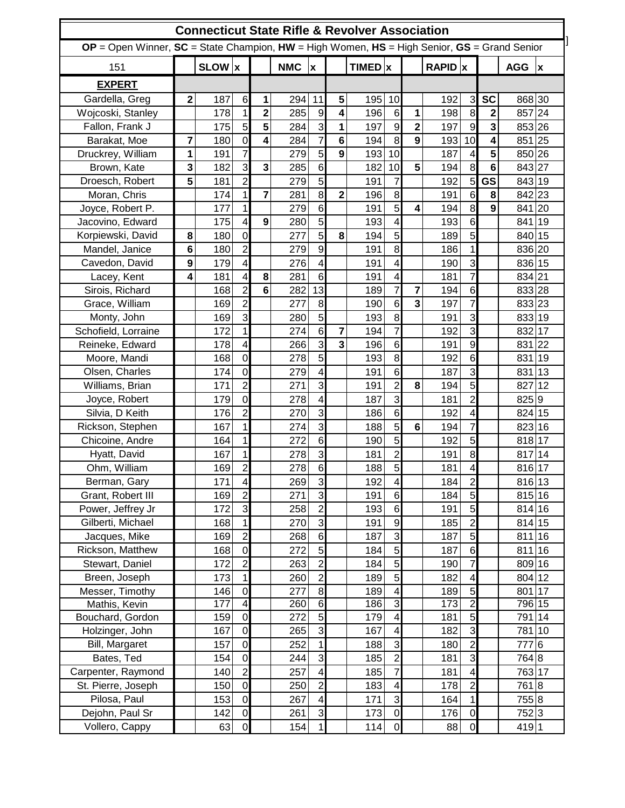| <b>Connecticut State Rifle &amp; Revolver Association</b>                                             |                         |            |                                         |                |            |                                  |                         |             |                              |                         |                         |                          |                |                  |              |
|-------------------------------------------------------------------------------------------------------|-------------------------|------------|-----------------------------------------|----------------|------------|----------------------------------|-------------------------|-------------|------------------------------|-------------------------|-------------------------|--------------------------|----------------|------------------|--------------|
| $OP = Open$ Winner, $SC = State$ Champion, $HW =$ High Women, $HS =$ High Senior, $GS =$ Grand Senior |                         |            |                                         |                |            |                                  |                         |             |                              |                         |                         |                          |                |                  |              |
| 151                                                                                                   |                         | SLOW x     |                                         |                | <b>NMC</b> | $\boldsymbol{\mathsf{x}}$        |                         | $TIMED$ $x$ |                              |                         | $RAPID$ $x$             |                          |                | <b>AGG</b>       | $\mathbf{x}$ |
| <b>EXPERT</b>                                                                                         |                         |            |                                         |                |            |                                  |                         |             |                              |                         |                         |                          |                |                  |              |
| Gardella, Greg                                                                                        | $\overline{\mathbf{2}}$ | 187        | 6                                       | 1              | 294        | 11                               | 5                       | 195         | 10                           |                         | 192                     | 3                        | <b>SC</b>      | 868 30           |              |
| Wojcoski, Stanley                                                                                     |                         | 178        | $\mathbf{1}$                            | $\overline{2}$ | 285        | 9                                | 4                       | 196         | 6                            | 1                       | 198                     | 8                        | $\overline{2}$ | 857 24           |              |
| Fallon, Frank J                                                                                       |                         | 175        | 5                                       | 5              | 284        | $\overline{3}$                   | 1                       | 197         | $\overline{9}$               | $\overline{\mathbf{2}}$ | 197                     | $\mathsf g$              | 3              | 853 26           |              |
| Barakat, Moe                                                                                          | 7                       | 180        | $\mathbf 0$                             | 4              | 284        | $\overline{7}$                   | 6                       | 194         | 8                            | 9                       | 193                     | 10                       | 4              | 851 25           |              |
| Druckrey, William                                                                                     | 1                       | 191        | $\overline{7}$                          |                | 279        | $\overline{5}$                   | $\overline{9}$          | 193         | 10                           |                         | 187                     | $\overline{\mathbf{4}}$  | 5              | 850 26           |              |
| Brown, Kate                                                                                           | 3                       | 182        | ω                                       | 3              | 285        | 6                                |                         | 182         | 10                           | 5                       | 194                     | 8                        | 6              | 843 27           |              |
| Droesch, Robert                                                                                       | 5                       | 181        | $\overline{2}$                          |                | 279        | $\overline{5}$                   |                         | 191         | $\overline{7}$               |                         | 192                     | 5                        | <b>GS</b>      | 843 19           |              |
| Moran, Chris                                                                                          |                         | 174        | $\mathbf{1}$                            | 7              | 281        | $\bf{8}$                         | $\overline{\mathbf{2}}$ | 196         | $\bf{8}$                     |                         | 191                     | 6                        | 8              | 842 23           |              |
| Joyce, Robert P.                                                                                      |                         | 177        | $\mathbf{1}$                            |                | 279        | 6                                |                         | 191         | 5                            | 4                       | 194                     | 8                        | 9              | 841 20           |              |
| Jacovino, Edward                                                                                      |                         | 175        | 4                                       | 9              | 280        | $\overline{5}$                   |                         | 193         | 4                            |                         | 193                     | 6                        |                | 841 19           |              |
| Korpiewski, David                                                                                     | 8                       | 180        | $\mathbf 0$                             |                | 277        | 5 <sup>1</sup>                   | 8                       | 194         | 5                            |                         | 189                     | 5                        |                | 840 15           |              |
| Mandel, Janice                                                                                        | 6                       | 180        | $\overline{2}$                          |                | 279        | $\overline{9}$                   |                         | 191         | $\bf{8}$                     |                         | 186                     | $\mathbf 1$              |                | 836 20           |              |
| Cavedon, David                                                                                        | 9                       | 179        | $\overline{\mathbf{4}}$                 |                | 276        | $\overline{\mathbf{4}}$          |                         | 191         | 4                            |                         | 190                     | 3                        |                | 836 15           |              |
| Lacey, Kent                                                                                           | 4                       | 181        | 4                                       | 8              | 281        | 6                                |                         | 191         | 4                            |                         | 181                     | $\overline{7}$           |                | 834 21           |              |
| Sirois, Richard                                                                                       |                         | 168        | $\overline{2}$                          | 6              | 282        | 13                               |                         | 189         | $\overline{7}$               | 7                       | 194                     | $6\phantom{a}$           |                | 833 28           |              |
| Grace, William                                                                                        |                         | 169        | $\overline{2}$                          |                | 277        | $\bf{8}$                         |                         | 190         | $6\phantom{1}6$              | 3                       | 197                     | $\overline{7}$           |                | 833 23           |              |
| Monty, John                                                                                           |                         | 169        | ω                                       |                | 280        | $\overline{5}$                   |                         | 193         | $\bf{8}$                     |                         | 191                     | ω                        |                | 833 19           |              |
| Schofield, Lorraine                                                                                   |                         | 172        | $\mathbf{1}$                            |                | 274        | $\overline{6}$                   | $\overline{\mathbf{r}}$ | 194         | $\overline{7}$               |                         | 192                     | $\overline{3}$           |                | 832 17           |              |
| Reineke, Edward                                                                                       |                         | 178        | 4                                       |                | 266        | <u>კ</u>                         | $\overline{3}$          | 196         | $6 \mid$                     |                         | 191                     | $\mathsf g$              |                | 831 22           |              |
| Moore, Mandi                                                                                          |                         | 168        | $\mathbf 0$                             |                | 278        | 5                                |                         | 193         | $\bf{8}$                     |                         | 192                     | 6                        |                | 831 19           |              |
| Olsen, Charles                                                                                        |                         | 174        | $\mathbf 0$                             |                | 279        | $\overline{\mathbf{4}}$          |                         | 191         | 6                            |                         | 187                     | 3                        |                | 831 13           |              |
| Williams, Brian                                                                                       |                         | 171        | $\overline{2}$                          |                | 271        | $\overline{3}$                   |                         | 191         | $\overline{2}$               | 8                       | 194                     | 5                        |                | 827 12           |              |
| Joyce, Robert                                                                                         |                         | 179        | $\mathbf 0$                             |                | 278        | $\overline{\mathbf{4}}$          |                         | 187         | $\overline{3}$               |                         | 181                     | $\overline{2}$           |                | 825 9            |              |
| Silvia, D Keith                                                                                       |                         | 176        | $\overline{c}$                          |                | 270        | <u>კ</u>                         |                         | 186         | 6                            |                         | 192                     | 4                        |                | 824 15           |              |
| Rickson, Stephen                                                                                      |                         | 167        | $\mathbf{1}$                            |                | 274        | $\overline{3}$                   |                         | 188         | 5 <sup>1</sup>               | 6                       | 194                     | $\overline{7}$           |                | 823 16           |              |
| Chicoine, Andre                                                                                       |                         | 164        | $\mathbf{1}$                            |                | 272        | 6                                |                         | 190         | 5 <sup>1</sup>               |                         | 192                     | $\overline{5}$           |                | 818 17           |              |
| Hyatt, David                                                                                          |                         | 167        | $\mathbf{1}$                            |                | 278        | $\overline{3}$                   |                         | 181         | $\overline{2}$               |                         | 191                     | 8                        |                | 817 14           |              |
| Ohm, William                                                                                          |                         | 169        | $\overline{2}$                          |                | 278        | $6 \overline{}$                  |                         | 188         | $\overline{5}$               |                         | 181                     | $\overline{\mathbf{A}}$  |                | 816 17           |              |
| Berman, Gary                                                                                          |                         | 171        | $\overline{\mathbf{4}}$                 |                | 269        | ω                                |                         | 192         | $\overline{4}$               |                         | 184                     | $\overline{2}$           |                | 816 13           |              |
| Grant, Robert III                                                                                     |                         | 169        | $\overline{c}$                          |                | 271        | $\mathbf{3}$                     |                         | 191         | 6                            |                         | 184                     | 5                        |                | 815 16           |              |
|                                                                                                       |                         | 172        | ω                                       |                | 258        | $\overline{2}$                   |                         | 193         | 6                            |                         | 191                     | 5                        |                | 814 16           |              |
| Power, Jeffrey Jr<br>Gilberti, Michael                                                                |                         | 168        | $\mathbf{1}$                            |                | 270        | 3                                |                         | 191         | $\overline{9}$               |                         |                         |                          |                | 814 15           |              |
|                                                                                                       |                         |            | $\overline{2}$                          |                |            | $\overline{6}$                   |                         |             | ω                            |                         | 185                     | $\overline{2}$<br>5      |                |                  |              |
| Jacques, Mike                                                                                         |                         | 169        |                                         |                | 268        |                                  |                         | 187         | 5 <sub>l</sub>               |                         | 187                     |                          |                | 811 16           |              |
| Rickson, Matthew                                                                                      |                         | 168        | $\overline{0}$<br>$\overline{2}$        |                | 272        | 5 <sub>5</sub><br>$\overline{2}$ |                         | 184         | $\overline{5}$               |                         | 187                     | $\,$ 6<br>$\overline{7}$ |                | 811 16           |              |
| Stewart, Daniel                                                                                       |                         | 172        |                                         |                | 263        |                                  |                         | 184         |                              |                         | 190                     |                          |                | 809 16           |              |
| Breen, Joseph                                                                                         |                         | 173        | $\mathbf{1}$                            |                | 260        | $\mathbf{2}$                     |                         | 189         | 5 <sup>1</sup>               |                         | 182                     | $\overline{\mathbf{4}}$  |                | 804 12           |              |
| Messer, Timothy                                                                                       |                         | 146<br>177 | $\mathbf 0$<br>$\overline{\mathcal{A}}$ |                | 277        | $\bf{8}$<br>$\overline{6}$       |                         | 189<br>186  | $\overline{\mathbf{4}}$<br>3 |                         | 189<br>$\overline{173}$ | 5<br>$\overline{2}$      |                | 801 17           |              |
| Mathis, Kevin                                                                                         |                         |            | $\overline{0}$                          |                | 260        | 5 <sub>l</sub>                   |                         |             | $\overline{4}$               |                         |                         | 5                        |                | 796 15<br>791 14 |              |
| Bouchard, Gordon                                                                                      |                         | 159        | $\mathbf 0$                             |                | 272        | $\mathbf{3}$                     |                         | 179         |                              |                         | 181                     | 3                        |                |                  |              |
| Holzinger, John                                                                                       |                         | 167        | $\mathbf 0$                             |                | 265        | 1                                |                         | 167         | 4                            |                         | 182                     | $\overline{c}$           |                | 781 10           |              |
| Bill, Margaret                                                                                        |                         | 157        |                                         |                | 252        |                                  |                         | 188         | $\mathbf{3}$                 |                         | 180                     |                          |                | 7776             |              |
| Bates, Ted                                                                                            |                         | 154        | $\mathbf 0$                             |                | 244        | $\mathbf{3}$                     |                         | 185         | $\mathbf{2}$                 |                         | 181                     | 3                        |                | 764 8            |              |
| Carpenter, Raymond                                                                                    |                         | 140        | $\overline{c}$                          |                | 257        | $\overline{4}$                   |                         | 185         | $\overline{7}$               |                         | 181                     | $\overline{\mathbf{4}}$  |                | 763 17           |              |
| St. Pierre, Joseph                                                                                    |                         | 150        | $\overline{0}$                          |                | 250        | $\mathbf{2}$                     |                         | 183         | $\overline{\mathbf{4}}$      |                         | 178                     | $\overline{2}$           |                | 7618             |              |
| Pilosa, Paul                                                                                          |                         | 153        | $\mathbf 0$                             |                | 267        | $\overline{4}$                   |                         | 171         | $\mathbf{3}$                 |                         | 164                     | $\mathbf{1}$             |                | 755 8            |              |
| Dejohn, Paul Sr                                                                                       |                         | 142        | $\mathbf 0$                             |                | 261        | $\mathbf{3}$                     |                         | 173         | $\overline{0}$               |                         | 176                     | $\mathbf 0$              |                | 752 3            |              |
| Vollero, Cappy                                                                                        |                         | 63         | $\mathbf 0$                             |                | 154        | 1                                |                         | 114         | $\overline{0}$               |                         | 88                      | $\mathbf 0$              |                | 419 1            |              |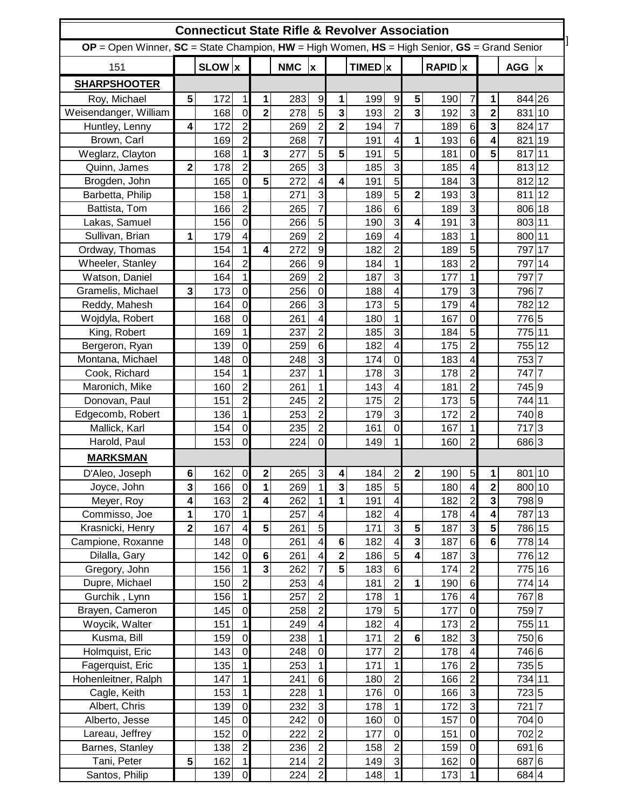|                                                                                                       |                         |            |                                  |                         |            |                         |                         | <b>Connecticut State Rifle &amp; Revolver Association</b> |                                           |                         |             |                         |                         |                   |  |
|-------------------------------------------------------------------------------------------------------|-------------------------|------------|----------------------------------|-------------------------|------------|-------------------------|-------------------------|-----------------------------------------------------------|-------------------------------------------|-------------------------|-------------|-------------------------|-------------------------|-------------------|--|
| $OP = Open$ Winner, $SC = State$ Champion, $HW = High$ Women, $HS = High$ Senior, $GS = Grand$ Senior |                         |            |                                  |                         |            |                         |                         |                                                           |                                           |                         |             |                         |                         |                   |  |
| 151                                                                                                   |                         | SLOW x     |                                  |                         | <b>NMC</b> | $\overline{\mathbf{x}}$ | $TIMED$ <sub>x</sub>    |                                                           |                                           |                         | $RAPID$ $x$ |                         |                         | $AGG$  x          |  |
| <b>SHARPSHOOTER</b>                                                                                   |                         |            |                                  |                         |            |                         |                         |                                                           |                                           |                         |             |                         |                         |                   |  |
| Roy, Michael                                                                                          | 5                       | 172        | $\mathbf{1}$                     | $\mathbf{1}$            | 283        | 9                       | $\mathbf{1}$            | 199                                                       | 9                                         | 5                       | 190         | $\overline{7}$          | $\mathbf{1}$            | 844 26            |  |
| Weisendanger, William                                                                                 |                         | 168        | $\mathbf 0$                      | $\overline{2}$          | 278        | $\overline{5}$          | $\overline{\mathbf{3}}$ | 193                                                       | $\overline{c}$                            | 3                       | 192         | $\overline{3}$          | $\overline{\mathbf{2}}$ | 831 10            |  |
| Huntley, Lenny                                                                                        | 4                       | 172        | $\overline{c}$                   |                         | 269        | $\overline{2}$          | $\overline{2}$          | 194                                                       | $\overline{7}$                            |                         | 189         | $\sigma$                | $\mathbf{3}$            | 824 17            |  |
| Brown, Carl                                                                                           |                         | 169        | $\overline{c}$                   |                         | 268        | $\overline{7}$          |                         | 191                                                       | $\overline{\mathbf{4}}$                   | 1                       | 193         | $6\phantom{1}$          | $\overline{\mathbf{4}}$ | 821 19            |  |
| Weglarz, Clayton                                                                                      |                         | 168        | $\mathbf{1}$                     | $\mathbf{3}$            | 277        | $\overline{5}$          | 5                       | 191                                                       | 5                                         |                         | 181         | $\overline{0}$          | $\overline{\mathbf{5}}$ | 817 11            |  |
| Quinn, James                                                                                          | $\overline{2}$          | 178        | $\overline{c}$                   |                         | 265        | 3                       |                         | 185                                                       | 3                                         |                         | 185         | $\overline{\mathbf{4}}$ |                         | 813 12            |  |
| Brogden, John                                                                                         |                         | 165        | $\overline{0}$                   | 5                       | 272        | $\overline{\mathbf{4}}$ | 4                       | 191                                                       | $\overline{5}$                            |                         | 184         | 3                       |                         | 812 12            |  |
| Barbetta, Philip                                                                                      |                         | 158        | $\mathbf{1}$                     |                         | 271        | 3                       |                         | 189                                                       | 5                                         | $\overline{2}$          | 193         | $\overline{3}$          |                         | 811 12            |  |
| Battista, Tom                                                                                         |                         | 166        | $\overline{2}$                   |                         | 265        | $\overline{7}$          |                         | 186                                                       | $6\phantom{1}6$                           |                         | 189         | 3                       |                         | 806 18            |  |
| Lakas, Samuel                                                                                         |                         | 156        | $\overline{0}$                   |                         | 266        | $\overline{5}$          |                         | 190                                                       | 3                                         | $\overline{\mathbf{4}}$ | 191         | 3                       |                         | 803 11            |  |
| Sullivan, Brian                                                                                       | 1                       | 179        | $\overline{\mathbf{4}}$          |                         | 269        | $\overline{c}$          |                         | 169                                                       | $\overline{4}$                            |                         | 183         | 1                       |                         | 800 11            |  |
| Ordway, Thomas                                                                                        |                         | 154        | $\mathbf{1}$                     | $\overline{\mathbf{4}}$ | 272        | $\overline{9}$          |                         | 182                                                       | $\overline{2}$                            |                         | 189         | 5                       |                         | 797 17            |  |
| Wheeler, Stanley                                                                                      |                         | 164        | $\overline{2}$                   |                         | 266        | 9                       |                         | 184                                                       | $\mathbf{1}$                              |                         | 183         | $\overline{2}$          |                         | 797 14            |  |
| Watson, Daniel                                                                                        |                         | 164        | $\mathbf{1}$                     |                         | 269        | $\overline{2}$          |                         | 187                                                       | 3                                         |                         | 177         | $\mathbf{1}$            |                         | $797\overline{7}$ |  |
| Gramelis, Michael                                                                                     | $\mathbf{3}$            | 173        | $\overline{0}$                   |                         | 256        | $\overline{0}$          |                         | 188                                                       | $\overline{4}$                            |                         | 179         | 3                       |                         | 796 7             |  |
| Reddy, Mahesh                                                                                         |                         | 164        | $\overline{0}$                   |                         | 266        | 3                       |                         | 173                                                       | 5                                         |                         | 179         | 4                       |                         | 782 12            |  |
| Wojdyla, Robert                                                                                       |                         | 168        | $\mathbf 0$                      |                         | 261        | $\overline{\mathbf{4}}$ |                         | 180                                                       | $\mathbf{1}$                              |                         | 167         | $\overline{0}$          |                         | 7765              |  |
| King, Robert                                                                                          |                         | 169        | $\mathbf{1}$                     |                         | 237        | $\overline{2}$          |                         | 185                                                       | 3                                         |                         | 184         | 5                       |                         | 775 11            |  |
|                                                                                                       |                         |            | $\overline{0}$                   |                         |            | $6\phantom{1}6$         |                         | 182                                                       | $\overline{\mathbf{4}}$                   |                         | 175         | 2                       |                         | 755 12            |  |
| Bergeron, Ryan<br>Montana, Michael                                                                    |                         | 139        | $\overline{0}$                   |                         | 259        | 3                       |                         | 174                                                       | $\overline{0}$                            |                         | 183         | 4                       |                         | 753 7             |  |
|                                                                                                       |                         | 148<br>154 | $\mathbf{1}$                     |                         | 248<br>237 | $\mathbf{1}$            |                         | 178                                                       | 3                                         |                         | 178         | $\overline{2}$          |                         | 747 7             |  |
| Cook, Richard<br>Maronich, Mike                                                                       |                         |            | $\overline{2}$                   |                         |            | $\mathbf{1}$            |                         | 143                                                       |                                           |                         | 181         | $\overline{2}$          |                         | 745 9             |  |
|                                                                                                       |                         | 160        | $\overline{2}$                   |                         | 261<br>245 | $\overline{c}$          |                         | 175                                                       | $\overline{\mathbf{4}}$<br>$\overline{2}$ |                         | 173         | 5                       |                         | 744 11            |  |
| Donovan, Paul                                                                                         |                         | 151        |                                  |                         |            | $\overline{c}$          |                         |                                                           | 3                                         |                         |             | $\overline{2}$          |                         | 740 8             |  |
| Edgecomb, Robert                                                                                      |                         | 136        | $\mathbf{1}$                     |                         | 253        | $\overline{2}$          |                         | 179                                                       | $\overline{0}$                            |                         | 172         | 1                       |                         | 717 3             |  |
| Mallick, Karl                                                                                         |                         | 154        | $\overline{0}$<br>$\overline{0}$ |                         | 235        | $\overline{0}$          |                         | 161                                                       | $\mathbf{1}$                              |                         | 167         | $\overline{2}$          |                         |                   |  |
| Harold, Paul                                                                                          |                         | 153        |                                  |                         | 224        |                         |                         | 149                                                       |                                           |                         | 160         |                         |                         | 6863              |  |
| <b>MARKSMAN</b>                                                                                       |                         |            |                                  |                         |            |                         |                         |                                                           |                                           |                         |             |                         |                         |                   |  |
| D'Aleo, Joseph                                                                                        | 6                       | 162        | $\overline{0}$                   | 2                       | 265        | $\overline{3}$          | 4                       | 184                                                       | $\mathbf{2}$                              | 2                       | 190         | 5 <sub>5</sub>          | 1                       | 801 10            |  |
| Joyce, John                                                                                           | 3                       | 166        | $\overline{0}$                   | 1                       | 269        | $\mathbf{1}$            | $\overline{\mathbf{3}}$ | 185                                                       | 5                                         |                         | 180         | $\overline{\mathbf{4}}$ | $\overline{2}$          | 800 10            |  |
| Meyer, Roy                                                                                            | $\overline{\mathbf{4}}$ | 163        | $\overline{c}$                   | $\overline{\mathbf{4}}$ | 262        | $\mathbf{1}$            | 1                       | 191                                                       | $\overline{\mathbf{4}}$                   |                         | 182         | $\overline{c}$          | 3                       | 7989              |  |
| Commisso, Joe                                                                                         | 1                       | 170        | $\mathbf{1}$                     |                         | 257        | $\overline{\mathbf{4}}$ |                         | 182                                                       | $\overline{\mathbf{4}}$                   |                         | 178         | $\overline{\mathbf{4}}$ | 4                       | 787 13            |  |
| Krasnicki, Henry                                                                                      | $\overline{\mathbf{2}}$ | 167        | $\overline{\mathbf{4}}$          | 5                       | 261        | 5                       |                         | 171                                                       | 3                                         | 5                       | 187         | $\mathbf{3}$            | 5                       | 786 15            |  |
| Campione, Roxanne                                                                                     |                         | 148        | $\overline{0}$                   |                         | 261        | $\overline{\mathbf{4}}$ | $\bf 6$                 | 182                                                       | 4                                         | $\mathbf{3}$            | 187         | $6\phantom{1}$          | $6\phantom{1}$          | 778 14            |  |
| Dilalla, Gary                                                                                         |                         | 142        | $\mathbf 0$                      | $\bf 6$                 | 261        | $\overline{\mathbf{4}}$ | $\overline{\mathbf{2}}$ | 186                                                       | 5                                         | $\overline{\mathbf{4}}$ | 187         | 3                       |                         | 776 12            |  |
| Gregory, John                                                                                         |                         | 156        | $\mathbf{1}$                     | $\overline{\mathbf{3}}$ | 262        | $\overline{7}$          | $5\phantom{.0}$         | 183                                                       | $6\phantom{1}$                            |                         | 174         | $\overline{c}$          |                         | 775 16            |  |
| Dupre, Michael                                                                                        |                         | 150        | $\overline{c}$                   |                         | 253        | $\overline{\mathbf{4}}$ |                         | 181                                                       | $\overline{c}$                            | 1                       | 190         | $\,$ 6                  |                         | 774 14            |  |
| Gurchik, Lynn                                                                                         |                         | 156        | $\mathbf{1}$                     |                         | 257        | $\overline{c}$          |                         | 178                                                       | $\mathbf{1}$                              |                         | 176         | 4                       |                         | 7678              |  |
| Brayen, Cameron                                                                                       |                         | 145        | $\overline{0}$                   |                         | 258        | $\overline{c}$          |                         | 179                                                       | 5                                         |                         | 177         | $\mathbf 0$             |                         | 759 7             |  |
| Woycik, Walter                                                                                        |                         | 151        | $\mathbf{1}$                     |                         | 249        | $\overline{\mathbf{4}}$ |                         | 182                                                       | $\overline{\mathbf{4}}$                   |                         | 173         | $\overline{\mathbf{c}}$ |                         | 755 11            |  |
| Kusma, Bill                                                                                           |                         | 159        | $\overline{0}$                   |                         | 238        | $\mathbf{1}$            |                         | 171                                                       | $\overline{c}$                            | $6\phantom{1}$          | 182         | $\mathbf{3}$            |                         | 750 6             |  |
| Holmquist, Eric                                                                                       |                         | 143        | $\mathbf 0$                      |                         | 248        | $\mathbf 0$             |                         | 177                                                       | $\overline{c}$                            |                         | 178         | $\overline{\mathbf{4}}$ |                         | 746 6             |  |
| Fagerquist, Eric                                                                                      |                         | 135        | $\mathbf{1}$                     |                         | 253        | $\mathbf{1}$            |                         | 171                                                       | $\mathbf{1}$                              |                         | 176         | $\overline{2}$          |                         | 735 5             |  |
| Hohenleitner, Ralph                                                                                   |                         | 147        | $\mathbf{1}$                     |                         | 241        | 6                       |                         | 180                                                       | $\overline{c}$                            |                         | 166         | $\overline{2}$          |                         | 734 11            |  |
| Cagle, Keith                                                                                          |                         | 153        | $\mathbf{1}$                     |                         | 228        | $\mathbf{1}$            |                         | 176                                                       | $\mathbf 0$                               |                         | 166         | $\overline{3}$          |                         | 723 5             |  |
| Albert, Chris                                                                                         |                         | 139        | $\overline{0}$                   |                         | 232        | 3                       |                         | 178                                                       | $\mathbf{1}$                              |                         | 172         | ω                       |                         | 721 7             |  |
| Alberto, Jesse                                                                                        |                         | 145        | $\mathbf 0$                      |                         | 242        | $\mathbf 0$             |                         | 160                                                       | $\mathbf 0$                               |                         | 157         | $\overline{0}$          |                         | 704 0             |  |
| Lareau, Jeffrey                                                                                       |                         | 152        | $\overline{0}$                   |                         | 222        | $\overline{2}$          |                         | 177                                                       | $\mathbf 0$                               |                         | 151         | $\mathbf 0$             |                         | 702 2             |  |
| Barnes, Stanley                                                                                       |                         | 138        | $\overline{2}$                   |                         | 236        | $\overline{c}$          |                         | 158                                                       | $\overline{2}$                            |                         | 159         | $\mathbf 0$             |                         | 691 6             |  |
| Tani, Peter                                                                                           | 5                       | 162        | $\mathbf{1}$                     |                         | 214        | $\mathbf{2}$            |                         | 149                                                       | $\mathbf{3}$                              |                         | 162         | $\mathbf 0$             |                         | 687 6             |  |
| Santos, Philip                                                                                        |                         | 139        | $\mathbf 0$                      |                         | 224        | $\overline{c}$          |                         | 148                                                       | $\mathbf{1}$                              |                         | 173         | 1                       |                         | 684 4             |  |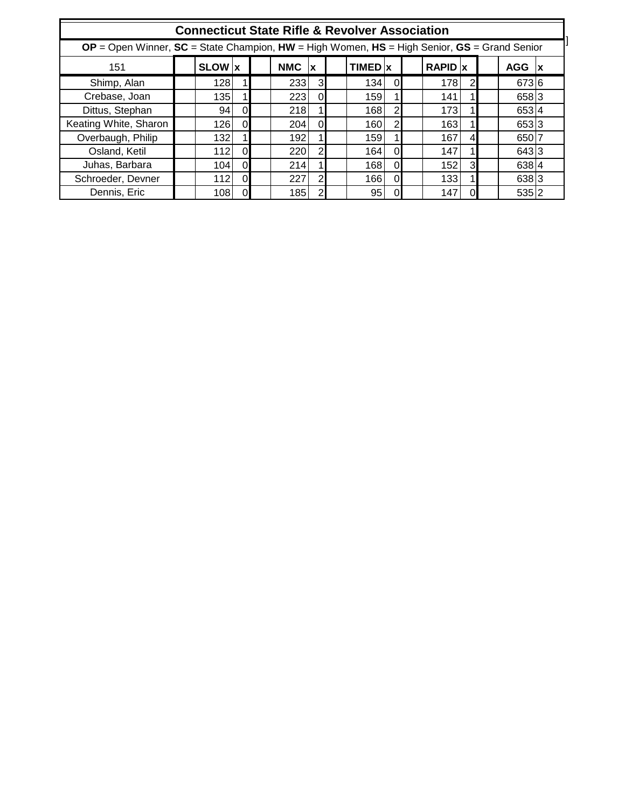| <b>Connecticut State Rifle &amp; Revolver Association</b>                                         |  |               |          |  |            |                |  |                      |                |  |           |          |  |            |              |
|---------------------------------------------------------------------------------------------------|--|---------------|----------|--|------------|----------------|--|----------------------|----------------|--|-----------|----------|--|------------|--------------|
| $OP = Open$ Winner, $SC = State$ Champion, HW = High Women, HS = High Senior, $GS = Grand$ Senior |  |               |          |  |            |                |  |                      |                |  |           |          |  |            |              |
| 151                                                                                               |  | <b>SLOW</b> x |          |  | <b>NMC</b> | <b>x</b>       |  | $TIMED$ <sub>x</sub> |                |  | $RAPID$ x |          |  | <b>AGG</b> | $\mathbf{X}$ |
| Shimp, Alan                                                                                       |  | 128           |          |  | 233        | 3              |  | 134                  | 0              |  | 178       |          |  | 673 6      |              |
| Crebase, Joan                                                                                     |  | 135           |          |  | 223        | $\Omega$       |  | 159                  |                |  | 141       |          |  | 658 3      |              |
| Dittus, Stephan                                                                                   |  | 94            | $\Omega$ |  | 218        |                |  | 168                  | $\overline{2}$ |  | 173       |          |  | 6534       |              |
| Keating White, Sharon                                                                             |  | 126           | $\Omega$ |  | 204        | $\Omega$       |  | 160                  | $\overline{2}$ |  | 163       |          |  | 653 3      |              |
| Overbaugh, Philip                                                                                 |  | 132           |          |  | 192        |                |  | 159                  |                |  | 167       |          |  | 650 7      |              |
| Osland, Ketil                                                                                     |  | 112           | $\Omega$ |  | 220        | $\overline{2}$ |  | 164                  | $\Omega$       |  | 147       |          |  | 643 3      |              |
| Juhas, Barbara                                                                                    |  | 104           | $\Omega$ |  | 214        |                |  | 168                  | $\Omega$       |  | 152       | 3        |  | 638 4      |              |
| Schroeder, Devner                                                                                 |  | 112           | $\Omega$ |  | 227        | $\overline{2}$ |  | 166                  | $\Omega$       |  | 133       |          |  | 6383       |              |
| Dennis, Eric                                                                                      |  | 108           | $\Omega$ |  | 185        | $\overline{2}$ |  | 95                   | $\Omega$       |  | 147       | $\Omega$ |  | 535 2      |              |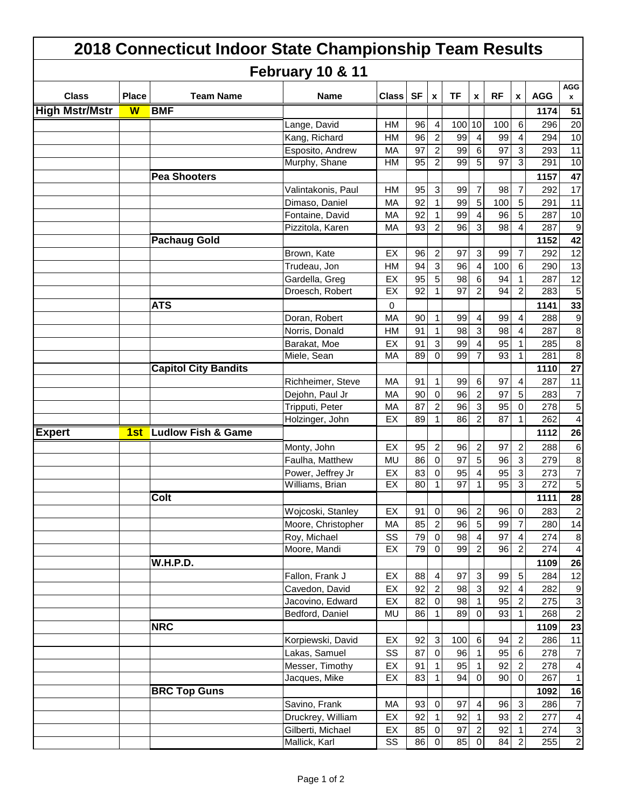|                       | 2018 Connecticut Indoor State Championship Team Results |                 |                               |                    |           |           |                    |                 |                  |           |                  |                  |                                  |  |
|-----------------------|---------------------------------------------------------|-----------------|-------------------------------|--------------------|-----------|-----------|--------------------|-----------------|------------------|-----------|------------------|------------------|----------------------------------|--|
|                       |                                                         |                 |                               | February 10 & 11   |           |           |                    |                 |                  |           |                  |                  |                                  |  |
| <b>Class</b>          | <b>Place</b>                                            |                 | <b>Team Name</b>              | <b>Name</b>        | Class     | <b>SF</b> | $\pmb{\mathsf{x}}$ | <b>TF</b>       | $\pmb{\chi}$     | <b>RF</b> | X                | <b>AGG</b>       | <b>AGG</b><br>$\pmb{\mathsf{x}}$ |  |
| <b>High Mstr/Mstr</b> | $\overline{\mathbf{w}}$                                 | <b>BMF</b>      |                               |                    |           |           |                    |                 |                  |           |                  | 1174             | 51                               |  |
|                       |                                                         |                 |                               | Lange, David       | НM        | 96        | 4                  | 100             | 10               | 100       | $\,6\,$          | 296              | 20                               |  |
|                       |                                                         |                 |                               | Kang, Richard      | <b>HM</b> | 96        | 2                  | 99              | 4                | 99        | $\overline{4}$   | 294              | 10                               |  |
|                       |                                                         |                 |                               | Esposito, Andrew   | <b>MA</b> | 97        | 2                  | 99              | 6                | 97        | 3 <sup>1</sup>   | 293              | 11                               |  |
|                       |                                                         |                 |                               | Murphy, Shane      | <b>HM</b> | 95        | 2                  | 99              | 5                | 97        | $\mathbf{3}$     | 291              | 10                               |  |
|                       |                                                         |                 | <b>Pea Shooters</b>           |                    |           |           |                    |                 |                  |           |                  | 1157             | 47                               |  |
|                       |                                                         |                 |                               | Valintakonis, Paul | <b>HM</b> | 95        | 3                  | 99              | $\overline{7}$   | 98        | $\overline{7}$   | 292              | 17                               |  |
|                       |                                                         |                 |                               | Dimaso, Daniel     | <b>MA</b> | 92        | 1                  | 99              | 5                | 100       | 5                | 291              | 11                               |  |
|                       |                                                         |                 |                               | Fontaine, David    | MA        | 92        |                    | 99              | 4                | 96        | 5 <sub>5</sub>   | 287              | 10                               |  |
|                       |                                                         |                 |                               | Pizzitola, Karen   | <b>MA</b> | 93        | 2                  | 96              | 3                | 98        | $\overline{4}$   | 287              | 9                                |  |
|                       |                                                         |                 | <b>Pachaug Gold</b>           |                    |           |           |                    |                 |                  |           |                  | 1152             | 42                               |  |
|                       |                                                         |                 |                               | Brown, Kate        | EX        | 96        | $\overline{c}$     | 97              | 3                | 99        | $\overline{7}$   | 292              | 12                               |  |
|                       |                                                         |                 |                               | Trudeau, Jon       | <b>HM</b> | 94        | 3                  | 96              | 4                | 100       | $6\phantom{1}$   | 290              | 13                               |  |
|                       |                                                         |                 |                               | Gardella, Greg     | EX        | 95        | 5                  | 98              | 6                | 94        | 1                | 287              | 12                               |  |
|                       |                                                         |                 |                               | Droesch, Robert    | EX        | 92        | 1                  | $\overline{97}$ | $\overline{c}$   | 94        | 2                | 283              | $\overline{5}$                   |  |
|                       |                                                         | <b>ATS</b>      |                               |                    | 0         |           |                    |                 |                  |           |                  | 1141             | 33                               |  |
|                       |                                                         |                 |                               | Doran, Robert      | <b>MA</b> | 90        |                    | 99              | $\overline{4}$   | 99        | $\overline{4}$   | 288              | 9                                |  |
|                       |                                                         |                 |                               | Norris, Donald     | <b>HM</b> | 91        |                    | 98              | 3                | 98        | 4                | 287              | 8                                |  |
|                       |                                                         |                 |                               | Barakat, Moe       | EX        | 91        | 3                  | 99              | 4                | 95        | 1                | 285              | 8                                |  |
|                       |                                                         |                 |                               | Miele, Sean        | MA        | 89        | $\mathbf 0$        | 99              | 7                | 93        | 1                | 281              | $\bf 8$                          |  |
|                       |                                                         |                 | <b>Capitol City Bandits</b>   |                    |           |           |                    |                 |                  |           |                  | 1110             | $\overline{27}$                  |  |
|                       |                                                         |                 |                               | Richheimer, Steve  | MA        | 91        | 1                  | 99              | 6                | 97        | $\overline{4}$   | 287              | 11                               |  |
|                       |                                                         |                 |                               | Dejohn, Paul Jr    | МA        | 90        | $\overline{0}$     | 96              | $\overline{c}$   | 97        | $\overline{5}$   | 283              | $\overline{7}$                   |  |
|                       |                                                         |                 |                               | Tripputi, Peter    | <b>MA</b> | 87        | 2                  | 96              | 3                | 95        | $\mathbf 0$      | 278              | 5                                |  |
|                       |                                                         |                 |                               | Holzinger, John    | EX        | 89        | $\mathbf{1}$       | 86              | $\overline{c}$   | 87        | 1                | 262              | $\overline{4}$                   |  |
| <b>Expert</b>         | 1st                                                     |                 | <b>Ludlow Fish &amp; Game</b> |                    |           |           |                    |                 |                  |           |                  | 1112             | 26                               |  |
|                       |                                                         |                 |                               | Monty, John        | EX        | 95        | $\overline{c}$     | 96              | $\overline{c}$   | 97        | $\overline{c}$   | 288              | 6                                |  |
|                       |                                                         |                 |                               | Faulha, Matthew    | <b>MU</b> | 86        | $\mathbf 0$        | 97              | 5                | 96        | $\mathbf{3}$     | 279              | $\bf 8$                          |  |
|                       |                                                         |                 |                               | Power, Jeffrey Jr  | EX        | 83        | 0                  | 95              |                  | 95        | $\mathbf 3$      | 273              | 7                                |  |
|                       |                                                         |                 |                               | Williams, Brian    | EX        | 80        |                    | $\overline{97}$ |                  | 95        | $\overline{3}$   | $\overline{272}$ | $\overline{5}$                   |  |
|                       |                                                         | Colt            |                               |                    |           |           |                    |                 |                  |           |                  | 1111             | 28                               |  |
|                       |                                                         |                 |                               | Wojcoski, Stanley  | EX        | 91        | $\overline{0}$     | 96              | $\overline{2}$   | 96        | $\overline{0}$   | 283              | $\overline{c}$                   |  |
|                       |                                                         |                 |                               | Moore, Christopher | MA        | 85        | $\overline{c}$     | 96              | $\overline{5}$   | 99        | $\overline{7}$   | 280              | 14                               |  |
|                       |                                                         |                 |                               | Roy, Michael       | SS        | 79        | $\overline{0}$     | 98              | 4                | 97        | $\overline{4}$   | 274              | $\bf 8$                          |  |
|                       |                                                         |                 |                               | Moore, Mandi       | EX        | 79        | $\overline{0}$     | 99              | $\overline{2}$   | 96        | $\overline{2}$   | 274              | $\overline{4}$                   |  |
|                       |                                                         | <b>W.H.P.D.</b> |                               |                    |           |           |                    |                 |                  |           |                  | 1109             | 26                               |  |
|                       |                                                         |                 |                               | Fallon, Frank J    | EX        | 88        | 4                  | 97              | $\mathbf{3}$     | 99        | $5\overline{)}$  | 284              | 12                               |  |
|                       |                                                         |                 |                               | Cavedon, David     | EX        | 92        | $\overline{c}$     | 98              | $\sqrt{3}$       | 92        | $\overline{4}$   | 282              | 9                                |  |
|                       |                                                         |                 |                               | Jacovino, Edward   | EX        | 82        | $\overline{0}$     | 98              |                  | 95        | $\overline{2}$   | 275              | $\ensuremath{\mathsf{3}}$        |  |
|                       |                                                         |                 |                               | Bedford, Daniel    | MU        | 86        | 11                 | 89              | $\pmb{0}$        | 93        | $\vert$ 1        | 268              | $\overline{2}$                   |  |
|                       |                                                         | <b>NRC</b>      |                               |                    |           |           |                    |                 |                  |           |                  | 1109             | 23                               |  |
|                       |                                                         |                 |                               | Korpiewski, David  | EX        | 92        | $\mathbf 3$        | 100             | $\,6\,$          | 94        | $\overline{2}$   | 286              | 11                               |  |
|                       |                                                         |                 |                               | Lakas, Samuel      | SS        | 87        | $\overline{0}$     | 96              | $\mathbf{1}$     | 95        | $6 \overline{6}$ | 278              | $\overline{7}$                   |  |
|                       |                                                         |                 |                               | Messer, Timothy    | EX        | 91        |                    | 95              |                  | 92        | $\overline{2}$   | 278              | $\vert 4 \vert$                  |  |
|                       |                                                         |                 |                               | Jacques, Mike      | EX        | 83        | 1                  | 94              | $\overline{0}$   | 90        | $\overline{0}$   | 267              | $\overline{1}$                   |  |
|                       |                                                         |                 | <b>BRC Top Guns</b>           |                    |           |           |                    |                 |                  |           |                  | 1092             | 16                               |  |
|                       |                                                         |                 |                               | Savino, Frank      | MA        | 93        | $\pmb{0}$          | 97              | 4                | 96        | $\mathbf{3}$     | 286              | $\overline{7}$                   |  |
|                       |                                                         |                 |                               | Druckrey, William  | EX        | 92        | 1                  | 92              |                  | 93        | $\overline{2}$   | 277              | $\vert 4 \vert$                  |  |
|                       |                                                         |                 |                               | Gilberti, Michael  | EX        | 85        | $\overline{0}$     | 97              | $\boldsymbol{2}$ | 92        | 1                | 274              | $\mathbf{3}$                     |  |
|                       |                                                         |                 |                               | Mallick, Karl      | SS        | 86        | $\overline{0}$     | 85              | $\overline{0}$   | 84        | $\overline{2}$   | 255              | $\overline{2}$                   |  |